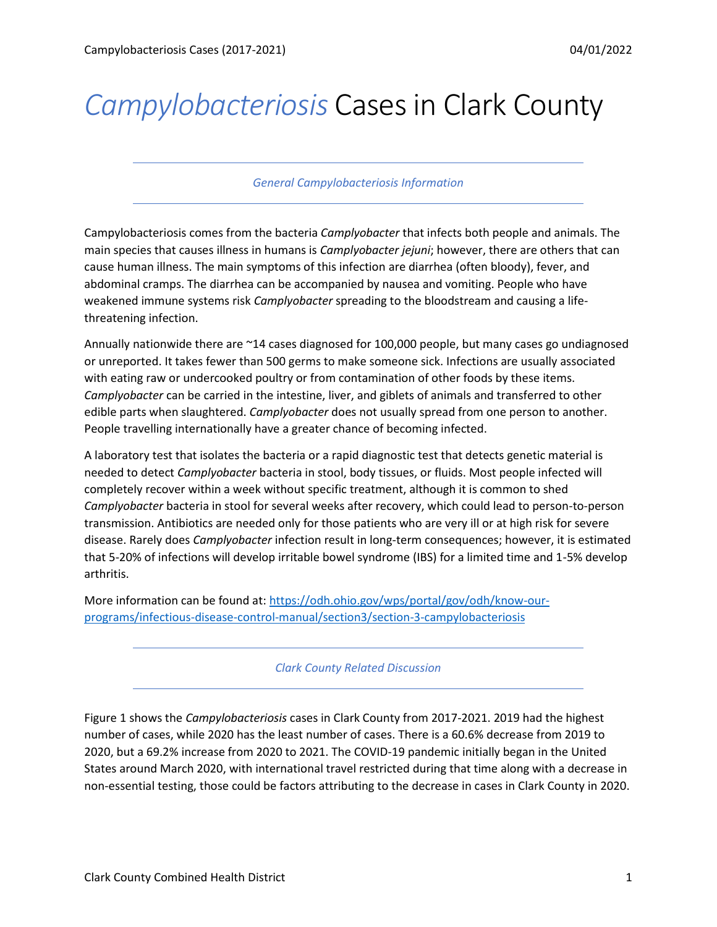## *Campylobacteriosis* Cases in Clark County

## *General Campylobacteriosis Information*

Campylobacteriosis comes from the bacteria *Camplyobacter* that infects both people and animals. The main species that causes illness in humans is *Camplyobacter jejuni*; however, there are others that can cause human illness. The main symptoms of this infection are diarrhea (often bloody), fever, and abdominal cramps. The diarrhea can be accompanied by nausea and vomiting. People who have weakened immune systems risk *Camplyobacter* spreading to the bloodstream and causing a lifethreatening infection.

Annually nationwide there are ~14 cases diagnosed for 100,000 people, but many cases go undiagnosed or unreported. It takes fewer than 500 germs to make someone sick. Infections are usually associated with eating raw or undercooked poultry or from contamination of other foods by these items. *Camplyobacter* can be carried in the intestine, liver, and giblets of animals and transferred to other edible parts when slaughtered. *Camplyobacter* does not usually spread from one person to another. People travelling internationally have a greater chance of becoming infected.

A laboratory test that isolates the bacteria or a rapid diagnostic test that detects genetic material is needed to detect *Camplyobacter* bacteria in stool, body tissues, or fluids. Most people infected will completely recover within a week without specific treatment, although it is common to shed *Camplyobacter* bacteria in stool for several weeks after recovery, which could lead to person-to-person transmission. Antibiotics are needed only for those patients who are very ill or at high risk for severe disease. Rarely does *Camplyobacter* infection result in long-term consequences; however, it is estimated that 5-20% of infections will develop irritable bowel syndrome (IBS) for a limited time and 1-5% develop arthritis.

More information can be found at: [https://odh.ohio.gov/wps/portal/gov/odh/know-our](https://odh.ohio.gov/wps/portal/gov/odh/know-our-programs/infectious-disease-control-manual/section3/section-3-campylobacteriosis)[programs/infectious-disease-control-manual/section3/section-3-campylobacteriosis](https://odh.ohio.gov/wps/portal/gov/odh/know-our-programs/infectious-disease-control-manual/section3/section-3-campylobacteriosis)

*Clark County Related Discussion*

Figure 1 shows the *Campylobacteriosis* cases in Clark County from 2017-2021. 2019 had the highest number of cases, while 2020 has the least number of cases. There is a 60.6% decrease from 2019 to 2020, but a 69.2% increase from 2020 to 2021. The COVID-19 pandemic initially began in the United States around March 2020, with international travel restricted during that time along with a decrease in non-essential testing, those could be factors attributing to the decrease in cases in Clark County in 2020.